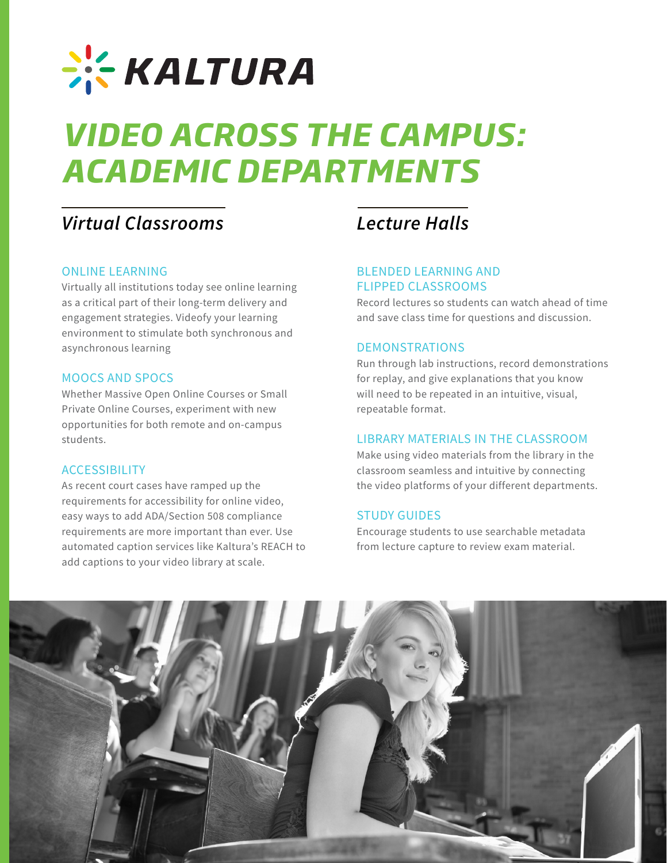

# *VIDEO ACROSS THE CAMPUS: ACADEMIC DEPARTMENTS*

# *Virtual Classrooms*

### ONLINE LEARNING

Virtually all institutions today see online learning as a critical part of their long-term delivery and engagement strategies. Videofy your learning environment to stimulate both synchronous and asynchronous learning

### MOOCS AND SPOCS

Whether Massive Open Online Courses or Small Private Online Courses, experiment with new opportunities for both remote and on-campus students.

# **ACCESSIBILITY**

As recent court cases have ramped up the requirements for accessibility for online video, easy ways to add ADA/Section 508 compliance requirements are more important than ever. Use automated caption services like Kaltura's REACH to add captions to your video library at scale.

# *Lecture Halls*

## BLENDED LEARNING AND FLIPPED CLASSROOMS

Record lectures so students can watch ahead of time and save class time for questions and discussion.

#### DEMONSTRATIONS

Run through lab instructions, record demonstrations for replay, and give explanations that you know will need to be repeated in an intuitive, visual, repeatable format.

#### LIBRARY MATERIALS IN THE CLASSROOM

Make using video materials from the library in the classroom seamless and intuitive by connecting the video platforms of your different departments.

## STUDY GUIDES

Encourage students to use searchable metadata from lecture capture to review exam material.

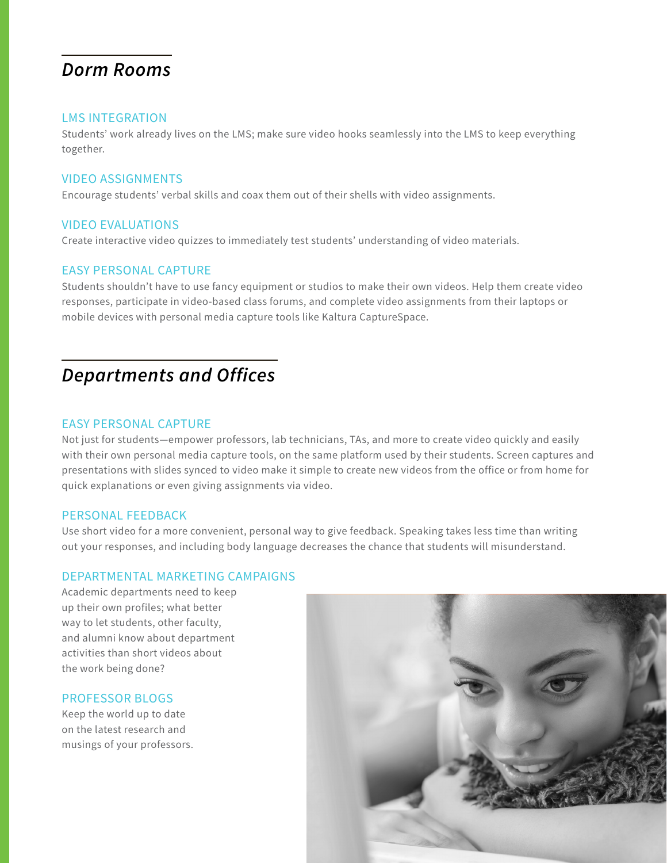# *Dorm Rooms*

#### LMS INTEGRATION

Students' work already lives on the LMS; make sure video hooks seamlessly into the LMS to keep everything together.

#### VIDEO ASSIGNMENTS

Encourage students' verbal skills and coax them out of their shells with video assignments.

### VIDEO EVALUATIONS

Create interactive video quizzes to immediately test students' understanding of video materials.

#### EASY PERSONAL CAPTURE

Students shouldn't have to use fancy equipment or studios to make their own videos. Help them create video responses, participate in video-based class forums, and complete video assignments from their laptops or mobile devices with personal media capture tools like Kaltura CaptureSpace.

# *Departments and Offices*

#### EASY PERSONAL CAPTURE

Not just for students—empower professors, lab technicians, TAs, and more to create video quickly and easily with their own personal media capture tools, on the same platform used by their students. Screen captures and presentations with slides synced to video make it simple to create new videos from the office or from home for quick explanations or even giving assignments via video.

#### PERSONAL FEEDBACK

Use short video for a more convenient, personal way to give feedback. Speaking takes less time than writing out your responses, and including body language decreases the chance that students will misunderstand.

#### DEPARTMENTAL MARKETING CAMPAIGNS

Academic departments need to keep up their own profiles; what better way to let students, other faculty, and alumni know about department activities than short videos about the work being done?

#### PROFESSOR BLOGS

Keep the world up to date on the latest research and musings of your professors.